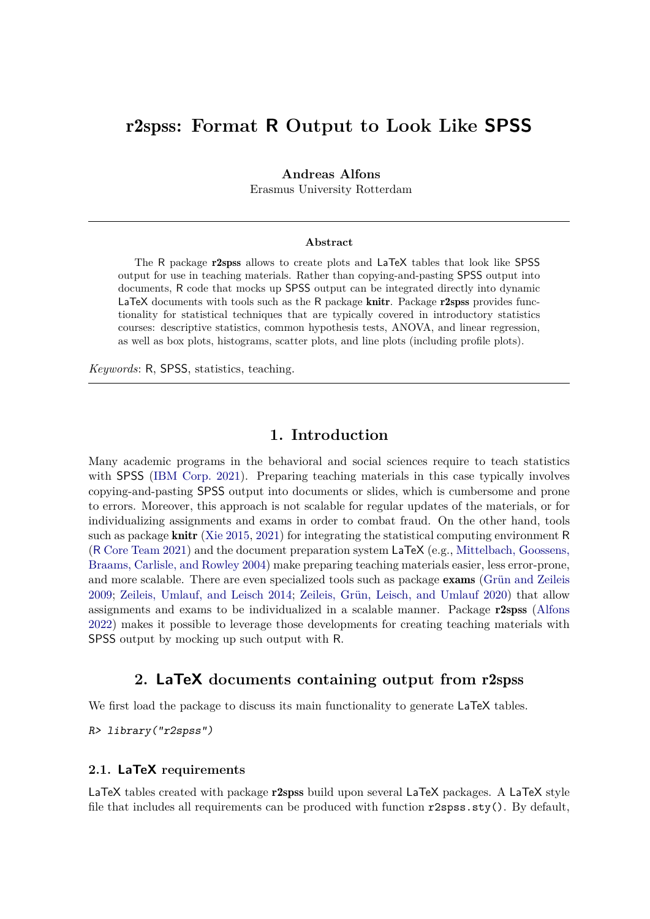# r2spss**: Format R Output to Look Like SPSS**

#### **Andreas Alfons**

Erasmus University Rotterdam

#### **Abstract**

The R package r2spss allows to create plots and LaTeX tables that look like SPSS output for use in teaching materials. Rather than copying-and-pasting SPSS output into documents, R code that mocks up SPSS output can be integrated directly into dynamic LaTeX documents with tools such as the R package **knitr**. Package **r2spss** provides functionality for statistical techniques that are typically covered in introductory statistics courses: descriptive statistics, common hypothesis tests, ANOVA, and linear regression, as well as box plots, histograms, scatter plots, and line plots (including profile plots).

*Keywords*: R, SPSS, statistics, teaching.

## **1. Introduction**

Many academic programs in the behavioral and social sciences require to teach statistics with SPSS [\(IBM Corp. 2021\)](#page-17-0). Preparing teaching materials in this case typically involves copying-and-pasting SPSS output into documents or slides, which is cumbersome and prone to errors. Moreover, this approach is not scalable for regular updates of the materials, or for individualizing assignments and exams in order to combat fraud. On the other hand, tools such as package **knitr** [\(Xie 2015,](#page-17-1) [2021\)](#page-17-2) for integrating the statistical computing environment R (R [Core Team 2021\)](#page-17-3) and the document preparation system LaTeX (e.g., [Mittelbach, Goossens,](#page-17-4) [Braams, Carlisle, and Rowley 2004\)](#page-17-4) make preparing teaching materials easier, less error-prone, and more scalable. There are even specialized tools such as package exams [\(Grün and Zeileis](#page-17-5) [2009;](#page-17-5) [Zeileis, Umlauf, and Leisch 2014;](#page-17-6) [Zeileis, Grün, Leisch, and Umlauf 2020\)](#page-17-7) that allow assignments and exams to be individualized in a scalable manner. Package r2spss [\(Alfons](#page-16-0) [2022\)](#page-16-0) makes it possible to leverage those developments for creating teaching materials with SPSS output by mocking up such output with R.

## **2. LaTeX documents containing output from** r2spss

We first load the package to discuss its main functionality to generate LaTeX tables.

R> library("r2spss")

#### **2.1. LaTeX requirements**

LaTeX tables created with package r2spss build upon several LaTeX packages. A LaTeX style file that includes all requirements can be produced with function  $r2sys.sty()$ . By default,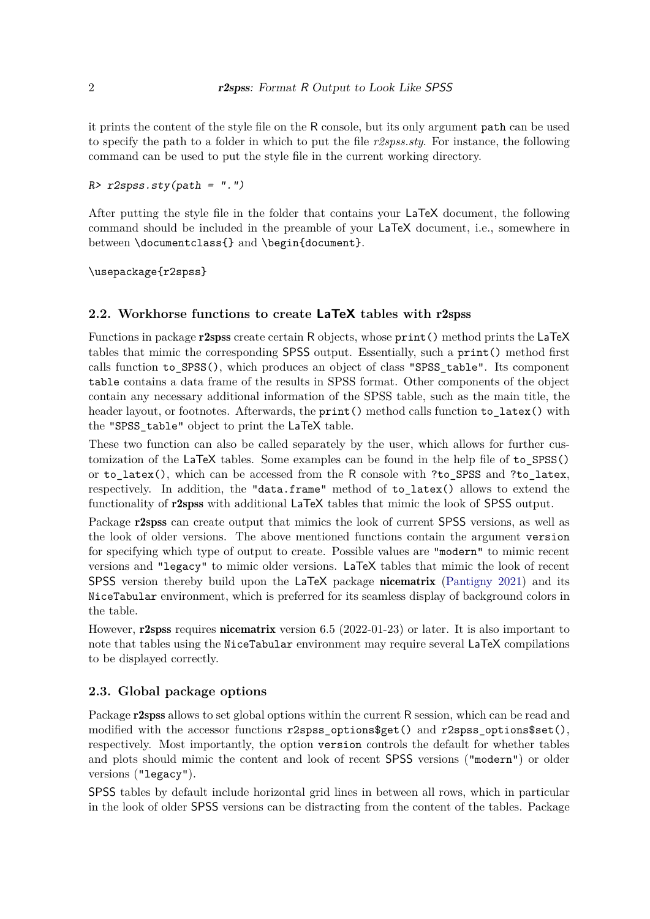it prints the content of the style file on the R console, but its only argument path can be used to specify the path to a folder in which to put the file  $r2spss.sty.$  For instance, the following command can be used to put the style file in the current working directory.

### $R$ >  $r2$ spss.sty(path = ".")

After putting the style file in the folder that contains your LaTeX document, the following command should be included in the preamble of your LaTeX document, i.e., somewhere in between \documentclass{} and \begin{document}.

\usepackage{r2spss}

## **2.2. Workhorse functions to create LaTeX tables with** r2spss

Functions in package r2spss create certain R objects, whose print() method prints the LaTeX tables that mimic the corresponding SPSS output. Essentially, such a print() method first calls function to SPSS(), which produces an object of class "SPSS table". Its component table contains a data frame of the results in SPSS format. Other components of the object contain any necessary additional information of the SPSS table, such as the main title, the header layout, or footnotes. Afterwards, the print() method calls function to\_latex() with the "SPSS table" object to print the LaTeX table.

These two function can also be called separately by the user, which allows for further customization of the LaTeX tables. Some examples can be found in the help file of to\_SPSS() or to latex(), which can be accessed from the R console with ?to\_SPSS and ?to\_latex, respectively. In addition, the "data.frame" method of to\_latex() allows to extend the functionality of r2spss with additional LaTeX tables that mimic the look of SPSS output.

Package r2spss can create output that mimics the look of current SPSS versions, as well as the look of older versions. The above mentioned functions contain the argument version for specifying which type of output to create. Possible values are "modern" to mimic recent versions and "legacy" to mimic older versions. LaTeX tables that mimic the look of recent SPSS version thereby build upon the LaTeX package nicematrix [\(Pantigny 2021\)](#page-17-8) and its NiceTabular environment, which is preferred for its seamless display of background colors in the table.

However, r2spss requires nicematrix version 6.5 (2022-01-23) or later. It is also important to note that tables using the NiceTabular environment may require several LaTeX compilations to be displayed correctly.

## **2.3. Global package options**

Package **r2spss** allows to set global options within the current R session, which can be read and modified with the accessor functions r2spss options  $\text{get}()$  and r2spss options  $\text{set}(),$ respectively. Most importantly, the option version controls the default for whether tables and plots should mimic the content and look of recent SPSS versions ("modern") or older versions ("legacy").

SPSS tables by default include horizontal grid lines in between all rows, which in particular in the look of older SPSS versions can be distracting from the content of the tables. Package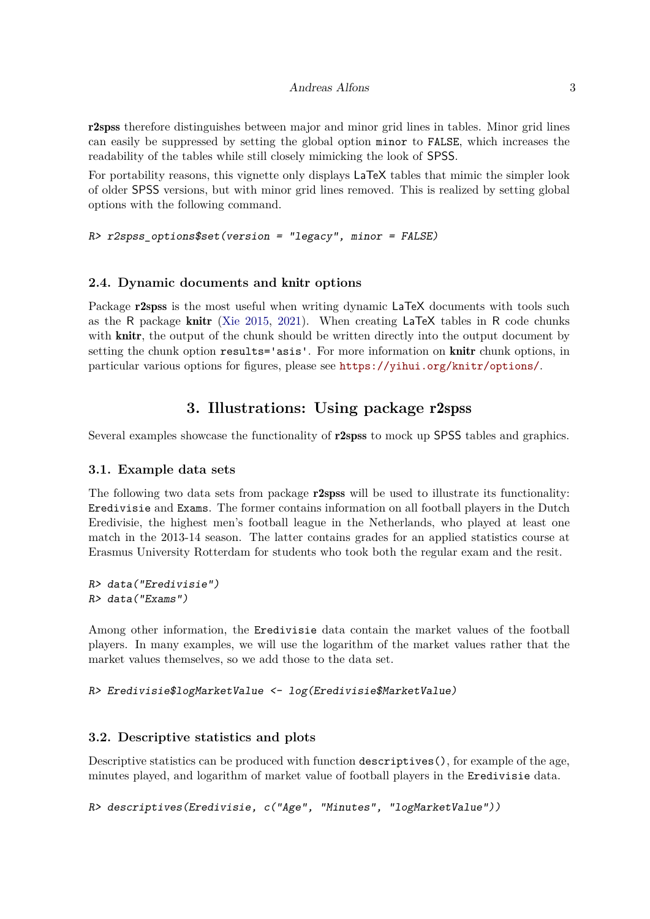r2spss therefore distinguishes between major and minor grid lines in tables. Minor grid lines can easily be suppressed by setting the global option minor to FALSE, which increases the readability of the tables while still closely mimicking the look of SPSS.

For portability reasons, this vignette only displays LaTeX tables that mimic the simpler look of older SPSS versions, but with minor grid lines removed. This is realized by setting global options with the following command.

```
R> r2spss options$set(version = "legacy", minor = FALSE)
```
## **2.4. Dynamic documents and** knitr **options**

Package **r2spss** is the most useful when writing dynamic LaTeX documents with tools such as the R package knitr [\(Xie 2015,](#page-17-1) [2021\)](#page-17-2). When creating LaTeX tables in R code chunks with **knitr**, the output of the chunk should be written directly into the output document by setting the chunk option results='asis'. For more information on knitr chunk options, in particular various options for figures, please see <https://yihui.org/knitr/options/>.

# **3. Illustrations: Using package** r2spss

Several examples showcase the functionality of r2spss to mock up SPSS tables and graphics.

## **3.1. Example data sets**

The following two data sets from package r2spss will be used to illustrate its functionality: Eredivisie and Exams. The former contains information on all football players in the Dutch Eredivisie, the highest men's football league in the Netherlands, who played at least one match in the 2013-14 season. The latter contains grades for an applied statistics course at Erasmus University Rotterdam for students who took both the regular exam and the resit.

R> data("Eredivisie") R> data("Exams")

Among other information, the Eredivisie data contain the market values of the football players. In many examples, we will use the logarithm of the market values rather that the market values themselves, so we add those to the data set.

R> Eredivisie\$logMarketValue <- log(Eredivisie\$MarketValue)

## **3.2. Descriptive statistics and plots**

Descriptive statistics can be produced with function descriptives(), for example of the age, minutes played, and logarithm of market value of football players in the Eredivisie data.

R> descriptives(Eredivisie, c("Age", "Minutes", "logMarketValue"))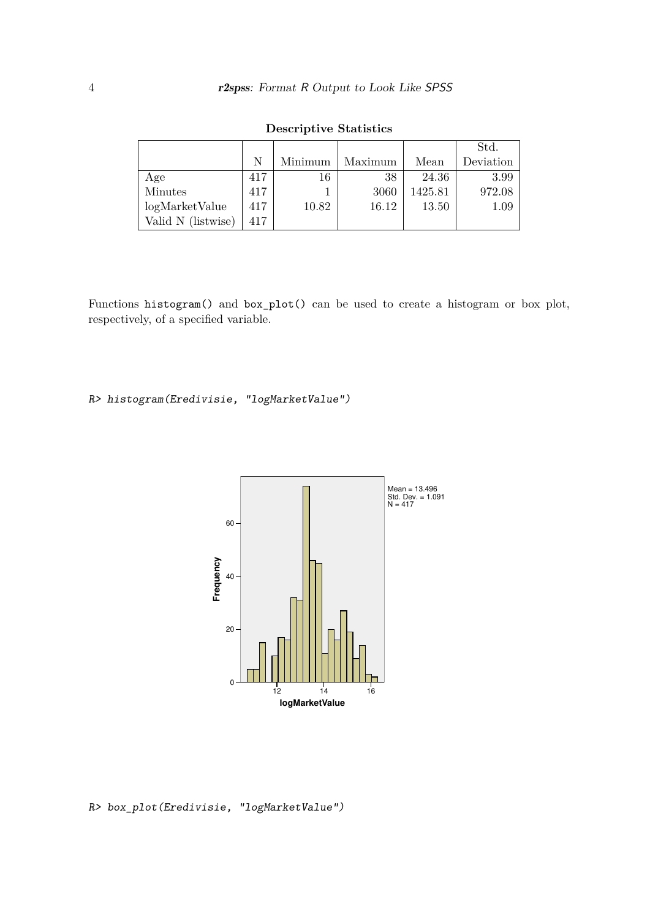|                    |     |         |         |         | Std.      |
|--------------------|-----|---------|---------|---------|-----------|
|                    | N   | Minimum | Maximum | Mean    | Deviation |
| Age                | 417 | 16      | 38      | 24.36   | 3.99      |
| Minutes            | 417 |         | 3060    | 1425.81 | 972.08    |
| logMarketValue     | 417 | 10.82   | 16.12   | 13.50   | $1.09\,$  |
| Valid N (listwise) | 417 |         |         |         |           |

**Descriptive Statistics**

Functions histogram() and box\_plot() can be used to create a histogram or box plot, respectively, of a specified variable.

## R> histogram(Eredivisie, "logMarketValue")



R> box\_plot(Eredivisie, "logMarketValue")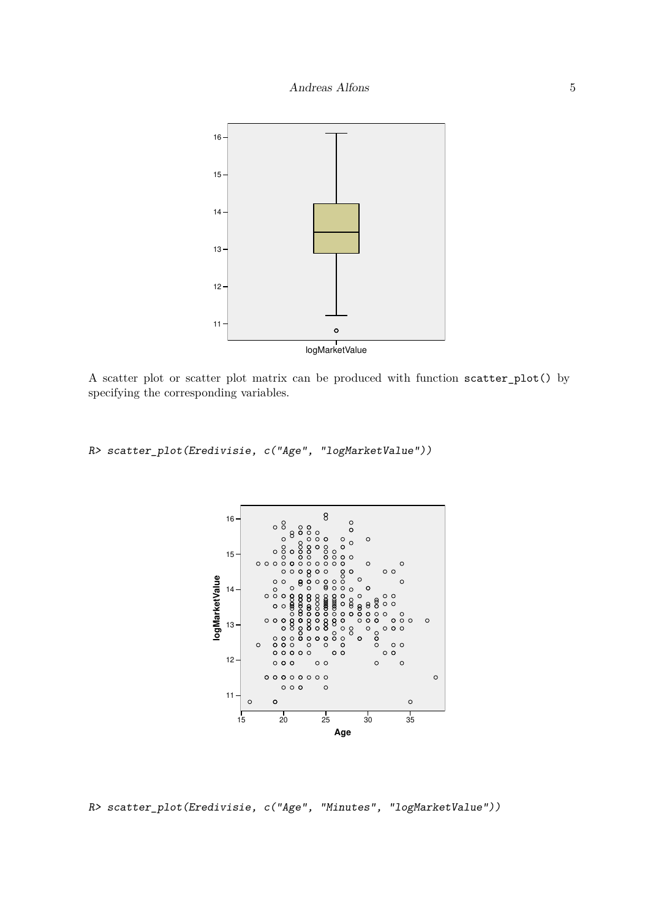

A scatter plot or scatter plot matrix can be produced with function scatter\_plot() by specifying the corresponding variables.

R> scatter\_plot(Eredivisie, c("Age", "logMarketValue"))



R> scatter\_plot(Eredivisie, c("Age", "Minutes", "logMarketValue"))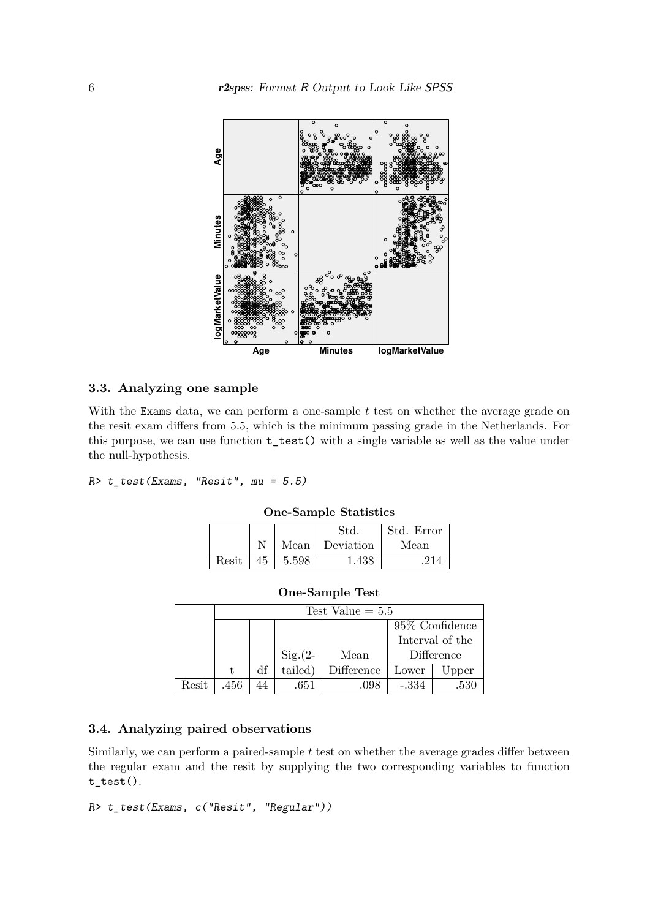

## **3.3. Analyzing one sample**

With the Exams data, we can perform a one-sample *t* test on whether the average grade on the resit exam differs from 5.5, which is the minimum passing grade in the Netherlands. For this purpose, we can use function  $t$ <sub>\_test</sub>() with a single variable as well as the value under the null-hypothesis.

 $R$ >  $t_t$  test (Exams, "Resit", mu = 5.5)

|       |    |       | Std            | Std. Error |  |  |
|-------|----|-------|----------------|------------|--|--|
|       |    |       | Mean Deviation | Mean       |  |  |
| Resit | 45 | 5.598 | 1.438          |            |  |  |

**One-Sample Statistics**

| <b>One-Sample Test</b> |  |
|------------------------|--|
|------------------------|--|

|       |      | Test Value $= 5.5$ |           |            |            |       |  |  |
|-------|------|--------------------|-----------|------------|------------|-------|--|--|
|       |      | 95\% Confidence    |           |            |            |       |  |  |
|       |      | Interval of the    |           |            |            |       |  |  |
|       |      |                    | $Sig.(2-$ | Mean       | Difference |       |  |  |
|       |      | df                 | tailed)   | Difference | Lower      | Upper |  |  |
| Resit | .456 |                    | .651      | .098       | $-.334$    | .530  |  |  |

## **3.4. Analyzing paired observations**

Similarly, we can perform a paired-sample *t* test on whether the average grades differ between the regular exam and the resit by supplying the two corresponding variables to function t\_test().

```
R> t_test(Exams, c("Resit", "Regular"))
```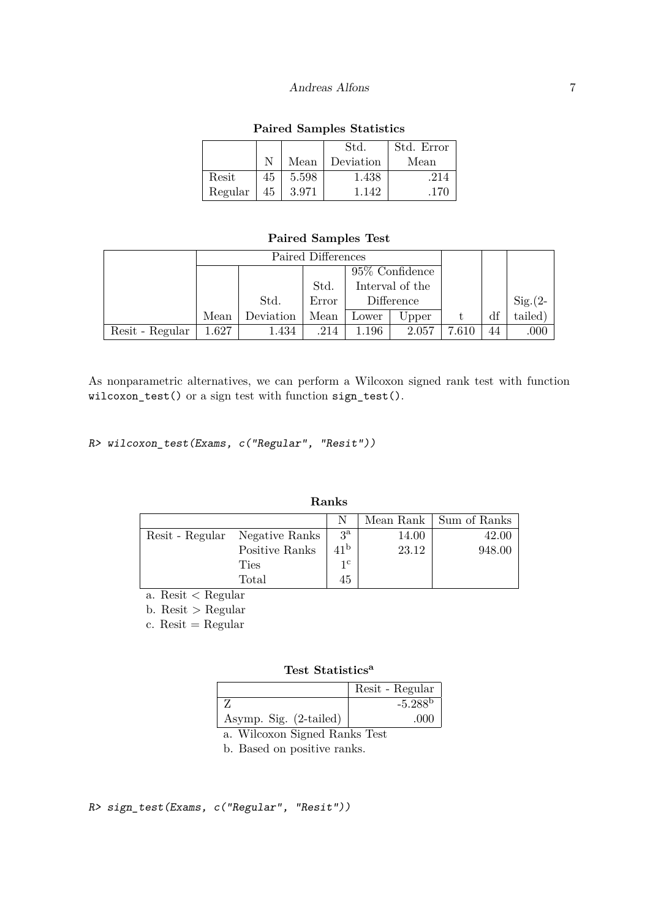|         |    |       | Std.      | Std. Error |
|---------|----|-------|-----------|------------|
|         |    | Mean  | Deviation | Mean       |
| Resit   | 45 | 5.598 | 1.438     | .214       |
| Regular | 45 | 3.971 | 1 142     | .170       |

## **Paired Samples Statistics**

**Paired Samples Test**

|                 | Paired Differences |           |       |                   |       |       |    |           |
|-----------------|--------------------|-----------|-------|-------------------|-------|-------|----|-----------|
|                 |                    |           |       | $95\%$ Confidence |       |       |    |           |
|                 |                    |           | Std.  | Interval of the   |       |       |    |           |
|                 |                    | Std.      | Error | Difference        |       |       |    | $Sig.(2-$ |
|                 | Mean               | Deviation | Mean  | Lower             | Upper |       | df | tailed)   |
| Resit - Regular | 1.627              | 1.434     | .214  | 1.196             | 2.057 | 7.610 | 44 | .000      |

As nonparametric alternatives, we can perform a Wilcoxon signed rank test with function wilcoxon\_test() or a sign test with function sign\_test().

R> wilcoxon\_test(Exams, c("Regular", "Resit"))

| Ranks |                                |                 |       |                          |  |  |
|-------|--------------------------------|-----------------|-------|--------------------------|--|--|
|       |                                |                 |       | Mean Rank   Sum of Ranks |  |  |
|       | Resit - Regular Negative Ranks | $3^{\rm a}$     | 14.00 | 42.00                    |  |  |
|       | Positive Ranks                 | 41 <sup>b</sup> | 23.12 | 948.00                   |  |  |
|       | <b>Ties</b>                    | $1^{\rm c}$     |       |                          |  |  |
|       | Total                          | 45              |       |                          |  |  |

a. Resit < Regular

b. Resit > Regular

 $c.$  Resit = Regular

## **Test Statistics<sup>a</sup>**

|                        | Resit - Regular       |
|------------------------|-----------------------|
|                        | $-5.288$ <sup>b</sup> |
| Asymp. Sig. (2-tailed) | .000                  |

a. Wilcoxon Signed Ranks Test

b. Based on positive ranks.

R> sign\_test(Exams, c("Regular", "Resit"))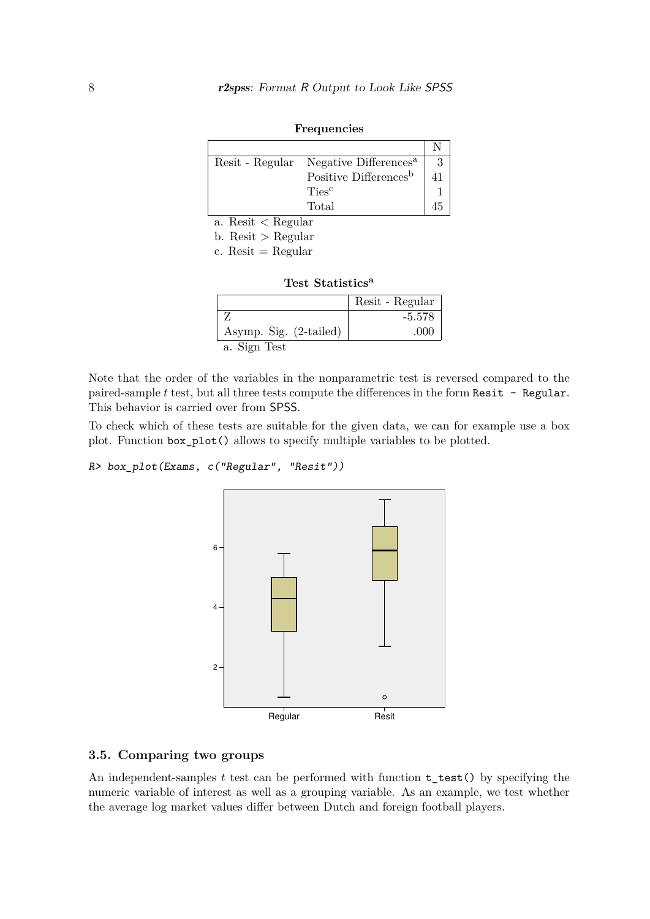| Resit - Regular Negative Differences <sup>a</sup> |  |
|---------------------------------------------------|--|
| Positive Differences <sup>b</sup>                 |  |
| Ties <sup>c</sup>                                 |  |
| Total                                             |  |

|--|

a. Resit < Regular

b. Resit > Regular

a. Sign Test

| c. Resit = Regular           |                 |
|------------------------------|-----------------|
| Test Statistics <sup>a</sup> |                 |
|                              | Resit - Regular |
|                              | $-5.578$        |

Asymp. Sig.  $(2\text{-tailed})$  .000

Note that the order of the variables in the nonparametric test is reversed compared to the paired-sample *t* test, but all three tests compute the differences in the form Resit - Regular. This behavior is carried over from SPSS.

To check which of these tests are suitable for the given data, we can for example use a box plot. Function box\_plot() allows to specify multiple variables to be plotted.

```
R> box_plot(Exams, c("Regular", "Resit"))
```


#### **3.5. Comparing two groups**

An independent-samples *t* test can be performed with function t\_test() by specifying the numeric variable of interest as well as a grouping variable. As an example, we test whether the average log market values differ between Dutch and foreign football players.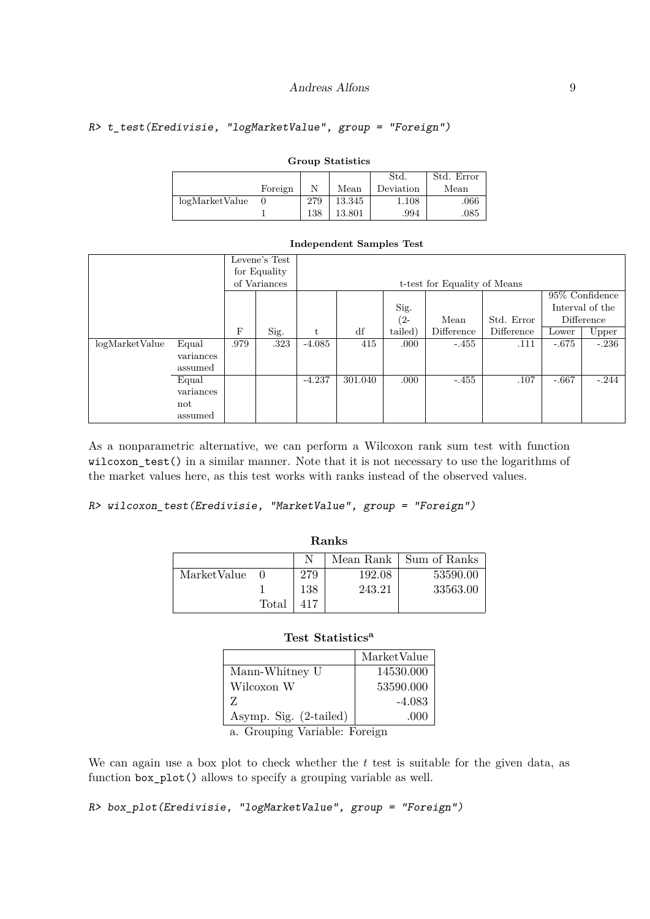## R> t\_test(Eredivisie, "logMarketValue", group = "Foreign")

| Group Deachstres |         |     |        |           |            |  |  |
|------------------|---------|-----|--------|-----------|------------|--|--|
|                  |         |     |        | Std.      | Std. Error |  |  |
|                  | Foreign |     | Mean   | Deviation | Mean       |  |  |
| logMarketValue   |         | 279 | 13.345 | 1.108     | .066       |  |  |
|                  |         | 138 | 13.801 | .994      | $.085\,$   |  |  |

### **Group Statistics**

#### **Independent Samples Test**

|                |           |              | Levene's Test |          |                              |         |            |            |         |                 |
|----------------|-----------|--------------|---------------|----------|------------------------------|---------|------------|------------|---------|-----------------|
|                |           |              | for Equality  |          |                              |         |            |            |         |                 |
|                |           | of Variances |               |          | t-test for Equality of Means |         |            |            |         |                 |
|                |           |              |               |          |                              |         |            |            |         | 95% Confidence  |
|                |           |              |               |          |                              | Sig.    |            |            |         | Interval of the |
|                |           |              |               |          |                              | $(2 -$  | Mean       | Std. Error |         | Difference      |
|                |           | $_{\rm F}$   | Sig.          | t        | df                           | tailed) | Difference | Difference | Lower   | Upper           |
| logMarketValue | Equal     | .979         | .323          | $-4.085$ | 415                          | .000    | $-.455$    | .111       | $-.675$ | $-.236$         |
|                | variances |              |               |          |                              |         |            |            |         |                 |
|                | assumed   |              |               |          |                              |         |            |            |         |                 |
|                | Equal     |              |               | $-4.237$ | 301.040                      | .000    | $-.455$    | .107       | $-.667$ | $-.244$         |
|                | variances |              |               |          |                              |         |            |            |         |                 |
|                | not       |              |               |          |                              |         |            |            |         |                 |
|                | assumed   |              |               |          |                              |         |            |            |         |                 |

As a nonparametric alternative, we can perform a Wilcoxon rank sum test with function wilcoxon\_test() in a similar manner. Note that it is not necessary to use the logarithms of the market values here, as this test works with ranks instead of the observed values.

R> wilcoxon\_test(Eredivisie, "MarketValue", group = "Foreign")

| ----------  |       |     |           |              |  |  |
|-------------|-------|-----|-----------|--------------|--|--|
|             |       |     | Mean Rank | Sum of Ranks |  |  |
| MarketValue |       | 279 | 192.08    | 53590.00     |  |  |
|             |       | 138 | 243.21    | 33563.00     |  |  |
|             | Total |     |           |              |  |  |

**Ranks**

## **Test Statistics<sup>a</sup>**

| MarketValue |
|-------------|
| 14530.000   |
| 53590.000   |
| $-4.083$    |
| -000        |
|             |

a. Grouping Variable: Foreign

We can again use a box plot to check whether the *t* test is suitable for the given data, as function box\_plot() allows to specify a grouping variable as well.

R> box\_plot(Eredivisie, "logMarketValue", group = "Foreign")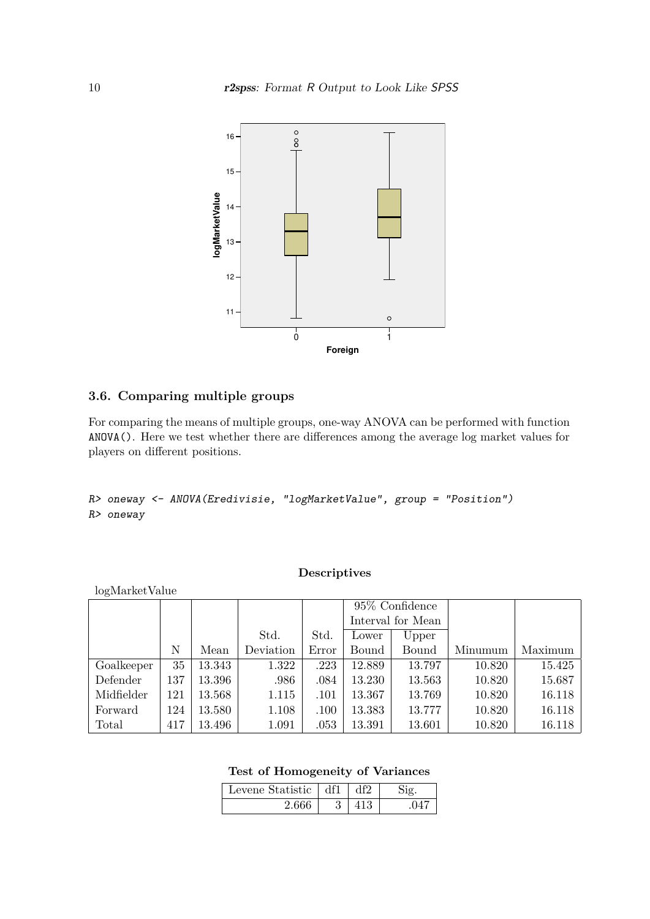

## **3.6. Comparing multiple groups**

For comparing the means of multiple groups, one-way ANOVA can be performed with function ANOVA(). Here we test whether there are differences among the average log market values for players on different positions.

R> oneway <- ANOVA(Eredivisie, "logMarketValue", group = "Position") R> oneway

### **Descriptives**

| logMarketValue |     |        |           |       |                 |                   |         |         |
|----------------|-----|--------|-----------|-------|-----------------|-------------------|---------|---------|
|                |     |        |           |       | 95\% Confidence |                   |         |         |
|                |     |        |           |       |                 | Interval for Mean |         |         |
|                |     |        | Std.      | Std.  | Lower           | Upper             |         |         |
|                | N   | Mean   | Deviation | Error | Bound           | Bound             | Minumum | Maximum |
| Goalkeeper     | 35  | 13.343 | 1.322     | .223  | 12.889          | 13.797            | 10.820  | 15.425  |
| Defender       | 137 | 13.396 | .986      | .084  | 13.230          | 13.563            | 10.820  | 15.687  |
| Midfielder     | 121 | 13.568 | 1.115     | .101  | 13.367          | 13.769            | 10.820  | 16.118  |
| Forward        | 124 | 13.580 | 1.108     | .100  | 13.383          | 13.777            | 10.820  | 16.118  |
| Total          | 417 | 13.496 | 1.091     | .053  | 13.391          | 13.601            | 10.820  | 16.118  |

## **Test of Homogeneity of Variances**

| Levene Statistic | df1 | ብභ |  |
|------------------|-----|----|--|
|                  |     |    |  |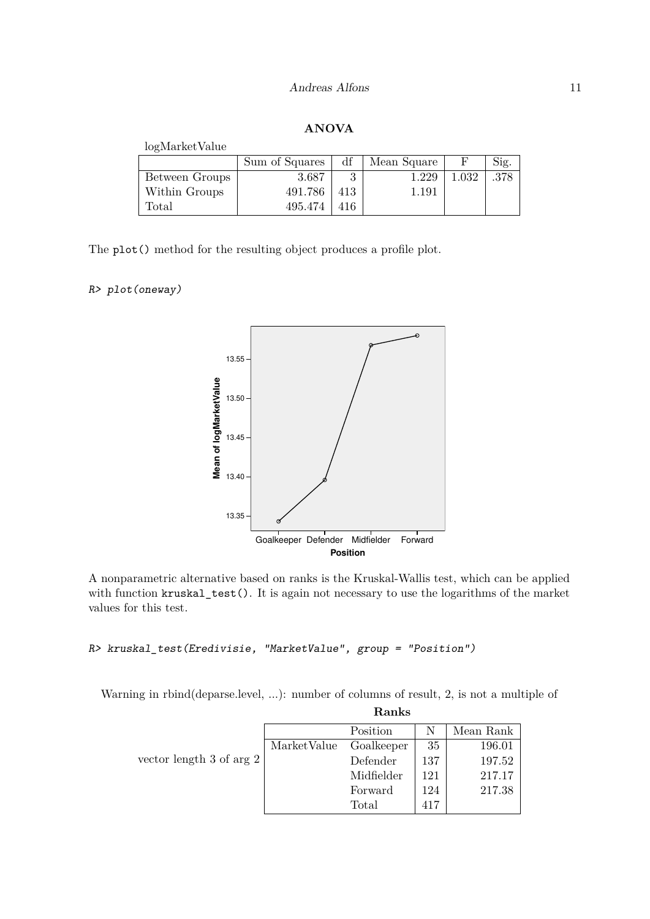## **ANOVA**

| logMarketValue |                |     |             |       |      |
|----------------|----------------|-----|-------------|-------|------|
|                | Sum of Squares | df  | Mean Square | F     | Sig. |
| Between Groups | 3.687          | 3   | 1.229       | 1.032 | .378 |
| Within Groups  | 491.786        | 413 | 1.191       |       |      |
| $\rm Total$    | 495.474        | 416 |             |       |      |

The plot() method for the resulting object produces a profile plot.

## R> plot(oneway)



A nonparametric alternative based on ranks is the Kruskal-Wallis test, which can be applied with function kruskal\_test(). It is again not necessary to use the logarithms of the market values for this test.

#### R> kruskal\_test(Eredivisie, "MarketValue", group = "Position")

Warning in rbind(deparse.level, ...): number of columns of result, 2, is not a multiple of

|                            |             | Ranks      |     |           |
|----------------------------|-------------|------------|-----|-----------|
|                            |             | Position   |     | Mean Rank |
|                            | MarketValue | Goalkeeper | 35  | 196.01    |
| vector length 3 of arg $2$ |             | Defender   | 137 | 197.52    |
|                            |             | Midfielder | 121 | 217.17    |
|                            |             | Forward    | 124 | 217.38    |
|                            |             | Total      | 417 |           |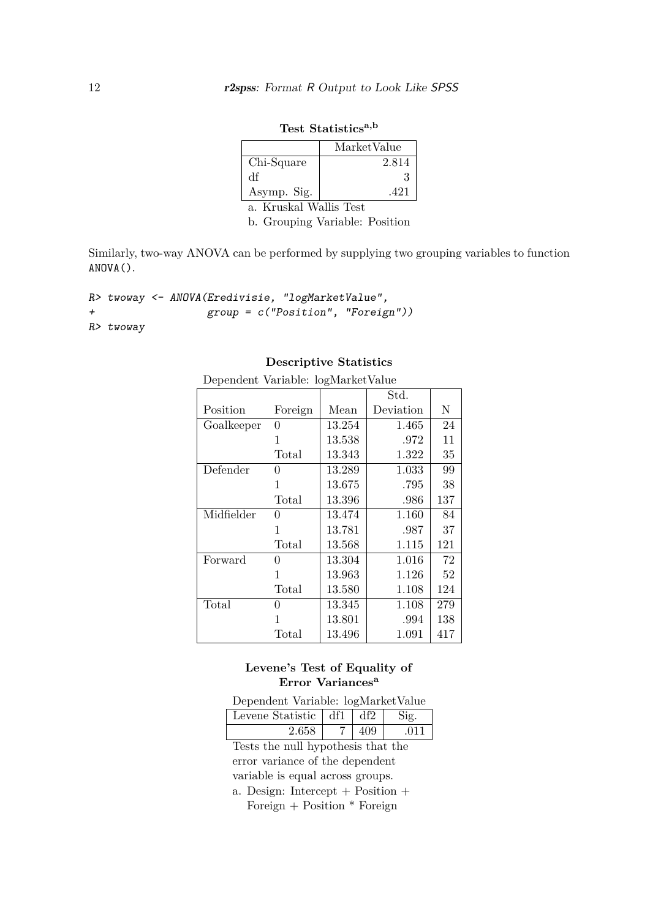|                                           | MarketValue |
|-------------------------------------------|-------------|
| Chi-Square                                | 2.814       |
| Чť                                        |             |
| Asymp. Sig.                               | .421        |
| $\mathcal{V}$ $\mathcal{V}$ $\mathcal{V}$ |             |

**Test Statisticsa,b**

a. Kruskal Wallis Test

b. Grouping Variable: Position

Similarly, two-way ANOVA can be performed by supplying two grouping variables to function ANOVA().

```
R> twoway <- ANOVA(Eredivisie, "logMarketValue",
+ group = c("Position", "Foreign"))
R> twoway
```

|            | Dependent Variable: logMarketValue |        |                       |     |  |  |  |
|------------|------------------------------------|--------|-----------------------|-----|--|--|--|
|            |                                    |        | $\operatorname{Std}.$ |     |  |  |  |
| Position   | Foreign                            | Mean   | Deviation             | N   |  |  |  |
| Goalkeeper | 0                                  | 13.254 | 1.465                 | 24  |  |  |  |
|            | 1                                  | 13.538 | .972                  | 11  |  |  |  |
|            | Total                              | 13.343 | 1.322                 | 35  |  |  |  |
| Defender   | 0                                  | 13.289 | 1.033                 | 99  |  |  |  |
|            | 1                                  | 13.675 | .795                  | 38  |  |  |  |
|            | Total                              | 13.396 | .986                  | 137 |  |  |  |
| Midfielder | 0                                  | 13.474 | 1.160                 | 84  |  |  |  |
|            | 1                                  | 13.781 | .987                  | 37  |  |  |  |
|            | Total                              | 13.568 | 1.115                 | 121 |  |  |  |
| Forward    | 0                                  | 13.304 | 1.016                 | 72  |  |  |  |
|            | 1                                  | 13.963 | 1.126                 | 52  |  |  |  |
|            | Total                              | 13.580 | 1.108                 | 124 |  |  |  |
| Total      | 0                                  | 13.345 | 1.108                 | 279 |  |  |  |
|            | 1                                  | 13.801 | .994                  | 138 |  |  |  |
|            | Total                              | 13.496 | 1.091                 | 417 |  |  |  |

### **Descriptive Statistics**

Levene's Test of Equality of **Error Variances<sup>a</sup>**

Dependent Variable: logMarketValue

| Levene Statistic $\vert df1 \vert$ | df2 | $S$ io |
|------------------------------------|-----|--------|
| 2.658                              | 409 | .011   |

Tests the null hypothesis that the error variance of the dependent variable is equal across groups.

a. Design: Intercept + Position + Foreign  $+$  Position  $*$  Foreign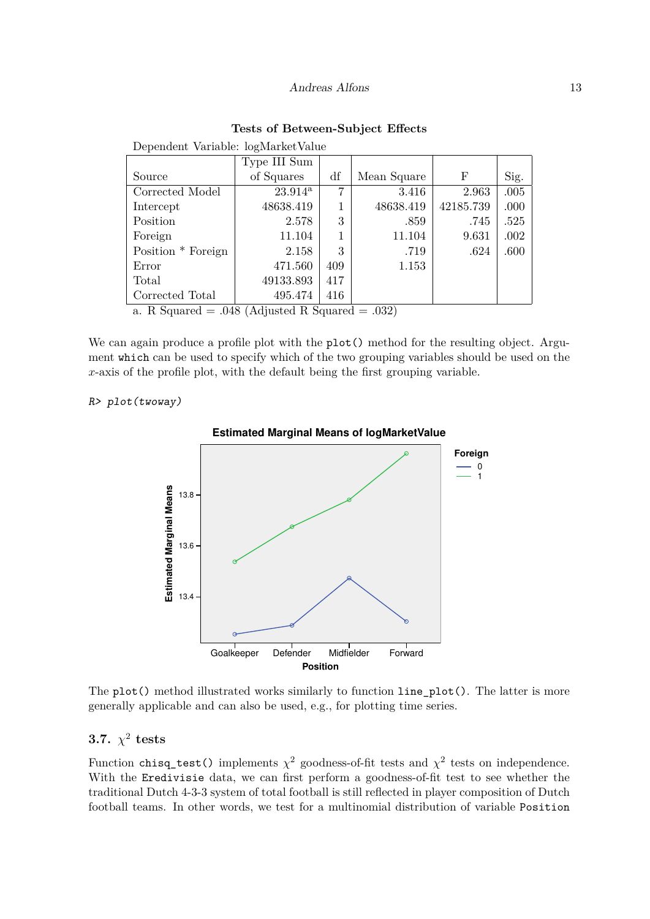|  |  | Tests of Between-Subject Effects |  |  |
|--|--|----------------------------------|--|--|
|--|--|----------------------------------|--|--|

|                                                           | Type III Sum     |     |             |           |      |
|-----------------------------------------------------------|------------------|-----|-------------|-----------|------|
| Source                                                    | of Squares       | df  | Mean Square | F         | Sig. |
| Corrected Model                                           | $23.914^{\rm a}$ | 7   | 3.416       | 2.963     | .005 |
| Intercept                                                 | 48638.419        |     | 48638.419   | 42185.739 | .000 |
| Position                                                  | 2.578            | 3   | .859        | .745      | .525 |
| Foreign                                                   | 11.104           |     | 11.104      | 9.631     | .002 |
| Position * Foreign                                        | 2.158            | 3   | .719        | .624      | .600 |
| Error                                                     | 471.560          | 409 | 1.153       |           |      |
| Total                                                     | 49133.893        | 417 |             |           |      |
| Corrected Total                                           | 495.474          | 416 |             |           |      |
| $\Omega$ P Squared $=$ 0.48 (Adjusted P Squared $=$ 0.22) |                  |     |             |           |      |

Dependent Variable: logMarketValue

a. R Squared  $= .048$  (Adjusted R Squared  $= .032$ )

We can again produce a profile plot with the  $plot()$  method for the resulting object. Argument which can be used to specify which of the two grouping variables should be used on the  $x$ -axis of the profile plot, with the default being the first grouping variable.

#### R> plot(twoway)



#### **Estimated Marginal Means of logMarketValue**

The plot() method illustrated works similarly to function line\_plot(). The latter is more generally applicable and can also be used, e.g., for plotting time series.

# **3.7.**  $\chi^2$  tests

Function chisq\_test() implements  $\chi^2$  goodness-of-fit tests and  $\chi^2$  tests on independence. With the Eredivisie data, we can first perform a goodness-of-fit test to see whether the traditional Dutch 4-3-3 system of total football is still reflected in player composition of Dutch football teams. In other words, we test for a multinomial distribution of variable Position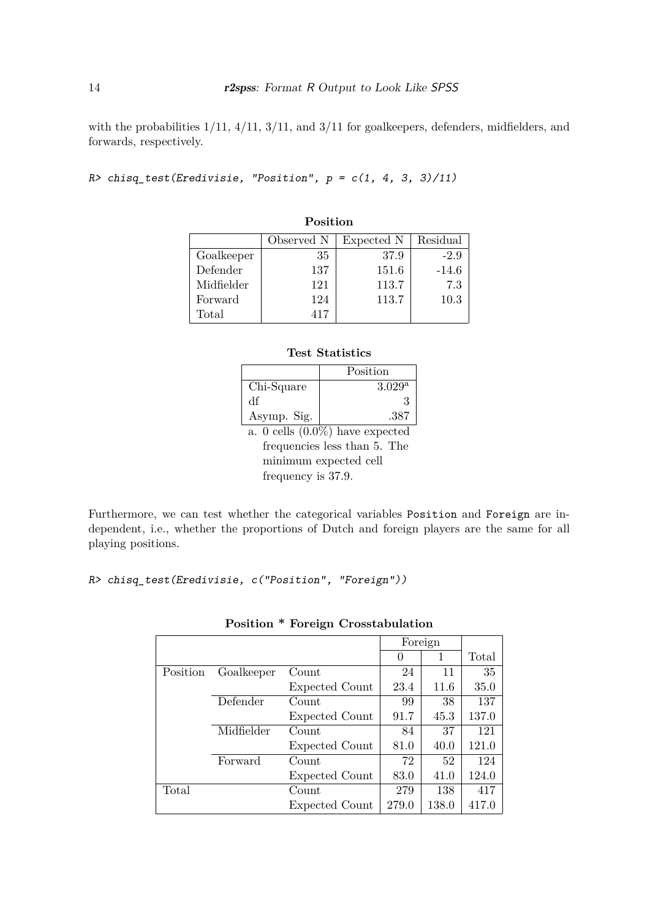with the probabilities  $1/11$ ,  $4/11$ ,  $3/11$ , and  $3/11$  for goalkeepers, defenders, midfielders, and forwards, respectively.

```
R> chisq_test(Eredivisie, "Position", p = c(1, 4, 3, 3)/11)
```

|            | Observed N | Expected N | Residual |
|------------|------------|------------|----------|
| Goalkeeper | 35         | 37.9       | $-2.9$   |
| Defender   | 137        | 151.6      | $-14.6$  |
| Midfielder | 121        | 113.7      | 7.3      |
| Forward    | 124        | 113.7      | 10.3     |
| Total      | 417        |            |          |

# **Position**

#### **Test Statistics**

|                                    | Position        |
|------------------------------------|-----------------|
| Chi-Square                         | $3.029^{\rm a}$ |
| df                                 |                 |
| Asymp. Sig.                        | .387            |
| $\sim$ $\sim$ $\sim$ $\sim$ $\sim$ |                 |

a. 0 cells (0.0%) have expected frequencies less than 5. The minimum expected cell frequency is 37.9.

Furthermore, we can test whether the categorical variables Position and Foreign are independent, i.e., whether the proportions of Dutch and foreign players are the same for all playing positions.

R> chisq\_test(Eredivisie, c("Position", "Foreign"))

|          |            |                | Foreign |       |       |
|----------|------------|----------------|---------|-------|-------|
|          |            |                | 0       |       | Total |
| Position | Goalkeeper | Count          | 24      | 11    | 35    |
|          |            | Expected Count | 23.4    | 11.6  | 35.0  |
|          | Defender   | Count          | 99      | 38    | 137   |
|          |            | Expected Count | 91.7    | 45.3  | 137.0 |
|          | Midfielder | Count          | 84      | 37    | 121   |
|          |            | Expected Count | 81.0    | 40.0  | 121.0 |
|          | Forward    | Count          | 72      | 52    | 124   |
|          |            | Expected Count | 83.0    | 41.0  | 124.0 |
| Total    |            | Count          | 279     | 138   | 417   |
|          |            | Expected Count | 279.0   | 138.0 | 417.0 |

|  |  |  | <b>Position * Foreign Crosstabulation</b> |
|--|--|--|-------------------------------------------|
|--|--|--|-------------------------------------------|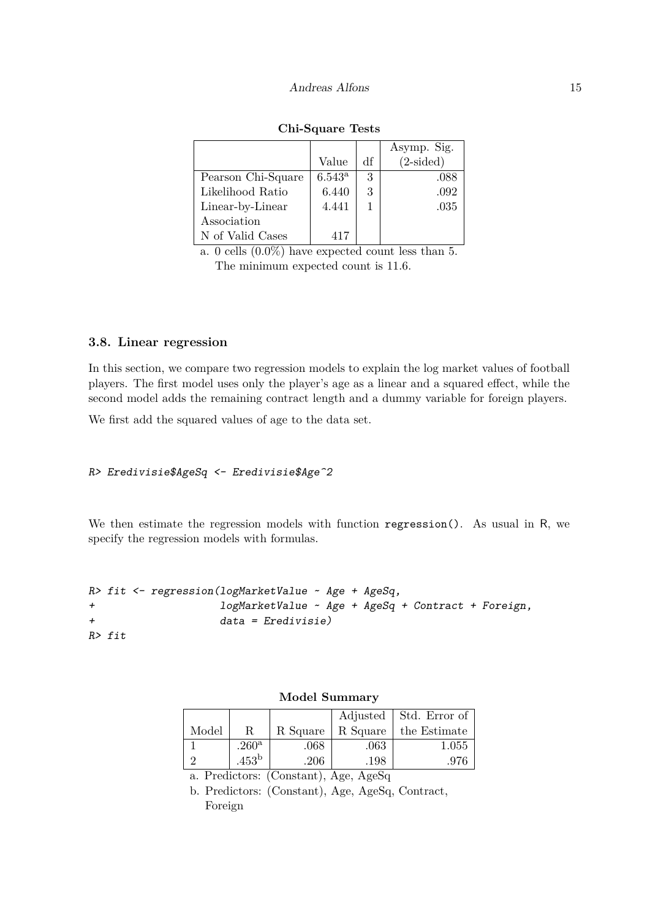|                    |                 |    | Asymp. Sig.        |
|--------------------|-----------------|----|--------------------|
|                    | Value           | df | $(2\text{-sided})$ |
| Pearson Chi-Square | $6.543^{\rm a}$ | 3  | .088               |
| Likelihood Ratio   | 6.440           | 3  | .092               |
| Linear-by-Linear   | 4.441           |    | .035               |
| Association        |                 |    |                    |
| N of Valid Cases   | 417             |    |                    |

| Chi-Square Tests |  |
|------------------|--|
|------------------|--|

a. 0 cells (0.0%) have expected count less than 5. The minimum expected count is 11.6.

### **3.8. Linear regression**

In this section, we compare two regression models to explain the log market values of football players. The first model uses only the player's age as a linear and a squared effect, while the second model adds the remaining contract length and a dummy variable for foreign players.

We first add the squared values of age to the data set.

```
R> Eredivisie$AgeSq <- Eredivisie$Age^2
```
We then estimate the regression models with function regression(). As usual in R, we specify the regression models with formulas.

```
R> fit <- regression(logMarketValue ~ Age + AgeSq,
+ logMarketValue ~ Age + AgeSq + Contract + Foreign,
+ data = Eredivisie)
R> fit
```

|       |                   |          |          | Adjusted   Std. Error of |
|-------|-------------------|----------|----------|--------------------------|
| Model |                   | R Square | R Square | the Estimate             |
|       | .260 <sup>a</sup> | .068     | .063     | 1.055                    |
|       | $.453^{\rm b}$    | .206     | .198     | .976                     |

**Model Summary**

a. Predictors: (Constant), Age, AgeSq b. Predictors: (Constant), Age, AgeSq, Contract,

Foreign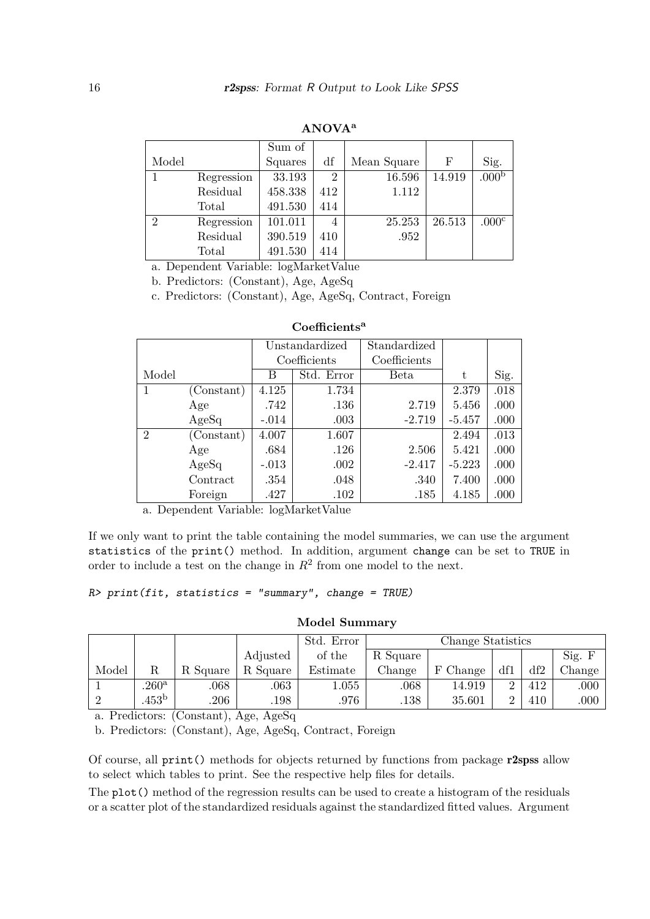|                |            | Sum of  |                |             |        |                   |
|----------------|------------|---------|----------------|-------------|--------|-------------------|
| Model          |            | Squares | df             | Mean Square | F      | Sig.              |
|                | Regression | 33.193  | $\overline{2}$ | 16.596      | 14.919 | .000 <sub>b</sub> |
|                | Residual   | 458.338 | 412            | 1.112       |        |                   |
|                | Total      | 491.530 | 414            |             |        |                   |
| $\mathfrak{D}$ | Regression | 101.011 | 4              | 25.253      | 26.513 | .000 <sup>c</sup> |
|                | Residual   | 390.519 | 410            | .952        |        |                   |
|                | Total      | 491.530 | 414            |             |        |                   |

**ANOVA<sup>a</sup>**

a. Dependent Variable: logMarketValue

b. Predictors: (Constant), Age, AgeSq

c. Predictors: (Constant), Age, AgeSq, Contract, Foreign

|                |            | Unstandardized |              | Standardized |          |      |
|----------------|------------|----------------|--------------|--------------|----------|------|
|                |            |                | Coefficients | Coefficients |          |      |
| Model          |            | В              | Std. Error   | Beta         | t        | Sig. |
|                | (Constant) | 4.125          | 1.734        |              | 2.379    | .018 |
|                | Age        | .742           | .136         | 2.719        | 5.456    | .000 |
|                | AgeSq      | $-.014$        | .003         | $-2.719$     | $-5.457$ | .000 |
| $\overline{2}$ | (Constant) | 4.007          | 1.607        |              | 2.494    | .013 |
|                | Age        | .684           | .126         | 2.506        | 5.421    | .000 |
|                | AgeSq      | $-.013$        | .002         | $-2.417$     | $-5.223$ | .000 |
|                | Contract   | .354           | .048         | .340         | 7.400    | .000 |
|                | Foreign    | .427           | .102         | .185         | 4.185    | .000 |

#### **Coefficients<sup>a</sup>**

a. Dependent Variable: logMarketValue

If we only want to print the table containing the model summaries, we can use the argument statistics of the print() method. In addition, argument change can be set to TRUE in order to include a test on the change in  $R^2$  from one model to the next.

 $R$ > print(fit, statistics = "summary", change = TRUE)

#### **Model Summary**

|       |                     |                                   |          | Std. Error | Change Statistics |             |     |     |        |
|-------|---------------------|-----------------------------------|----------|------------|-------------------|-------------|-----|-----|--------|
|       |                     |                                   | Adjusted | of the     | R Square          |             |     |     | Sig. F |
| Model |                     | R Square                          | R Square | Estimate   | Change            | Change<br>F | df1 | df2 | Change |
|       | $.260$ <sup>a</sup> | .068                              | .063     | 1.055      | .068              | 14.919      |     | 412 | .000   |
|       | $.453^{\rm b}$      | .206<br>$\epsilon$ and $\epsilon$ | .198     | .976       | .138              | 35.601      |     | 410 | .000   |

a. Predictors: (Constant), Age, AgeSq

b. Predictors: (Constant), Age, AgeSq, Contract, Foreign

Of course, all print() methods for objects returned by functions from package r2spss allow to select which tables to print. See the respective help files for details.

The plot() method of the regression results can be used to create a histogram of the residuals or a scatter plot of the standardized residuals against the standardized fitted values. Argument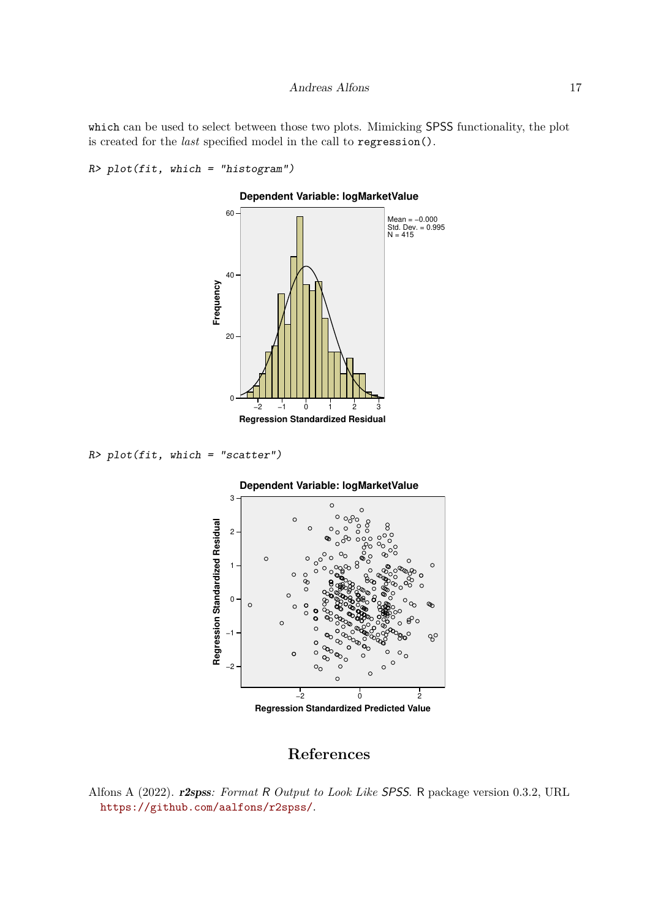which can be used to select between those two plots. Mimicking SPSS functionality, the plot is created for the *last* specified model in the call to regression().

```
R> plot(fit, which = "histogram")
```


**Dependent Variable: logMarketValue**

```
R> plot(fit, which = "scatter")
```


# **References**

<span id="page-16-0"></span>Alfons A (2022). r2spss*: Format* R *Output to Look Like* SPSS. R package version 0.3.2, URL <https://github.com/aalfons/r2spss/>.